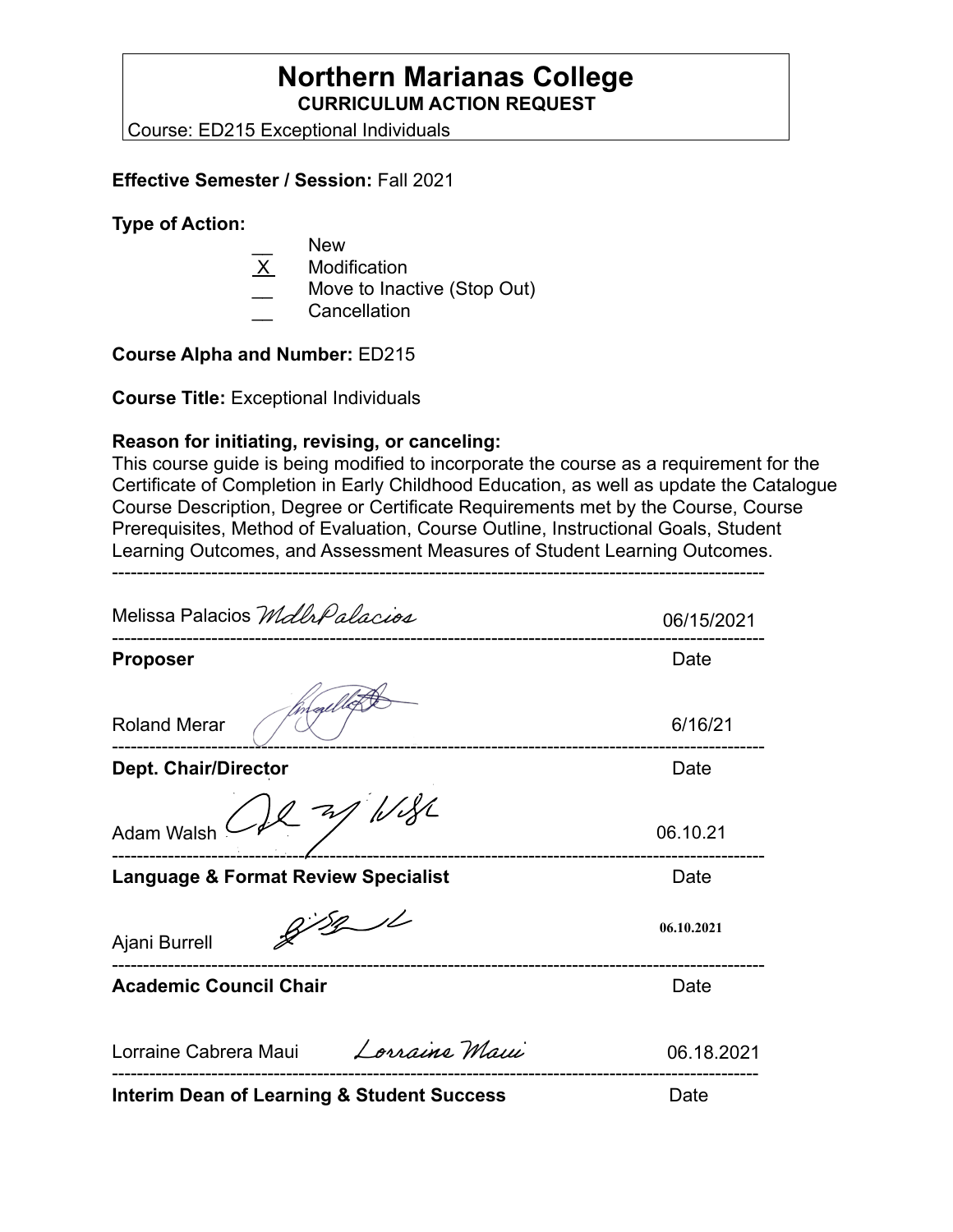## **Northern Marianas College CURRICULUM ACTION REQUEST**

Course: ED215 Exceptional Individuals

### **Effective Semester / Session:** Fall 2021

#### **Type of Action:**

- New
- **Modification**
- Move to Inactive (Stop Out)
- \_\_ Cancellation

### **Course Alpha and Number:** ED215

**Course Title:** Exceptional Individuals

### **Reason for initiating, revising, or canceling:**

This course guide is being modified to incorporate the course as a requirement for the Certificate of Completion in Early Childhood Education, as well as update the Catalogue Course Description, Degree or Certificate Requirements met by the Course, Course Prerequisites, Method of Evaluation, Course Outline, Instructional Goals, Student Learning Outcomes, and Assessment Measures of Student Learning Outcomes.

---------------------------------------------------------------------------------------------------------

Melissa Palacios Mdla Palacios 06/15/2021 --------------------------------------------------------------------------------------------------------- **Proposer** Date Roland Merar 6/16/21 --------------------------------------------------------------------------------------------------------- **Dept. Chair/Director Date Date Date Date** Adam Walsh 06.10.21 --------------------------------------------------------------------------------------------------------- **Language & Format Review Specialist Canadiation Control Cate**  $8/8/1$ **06.10.2021** Ajani Burrell --------------------------------------------------------------------------------------------------------- **Academic Council Chair <b>Date Date Date Date** Lorraine Maui Lorraine Cabrera Maui 06.18.2021 -------------------------------------------------------------------------------------------------------- **Interim Dean of Learning & Student Success Date Contact Date**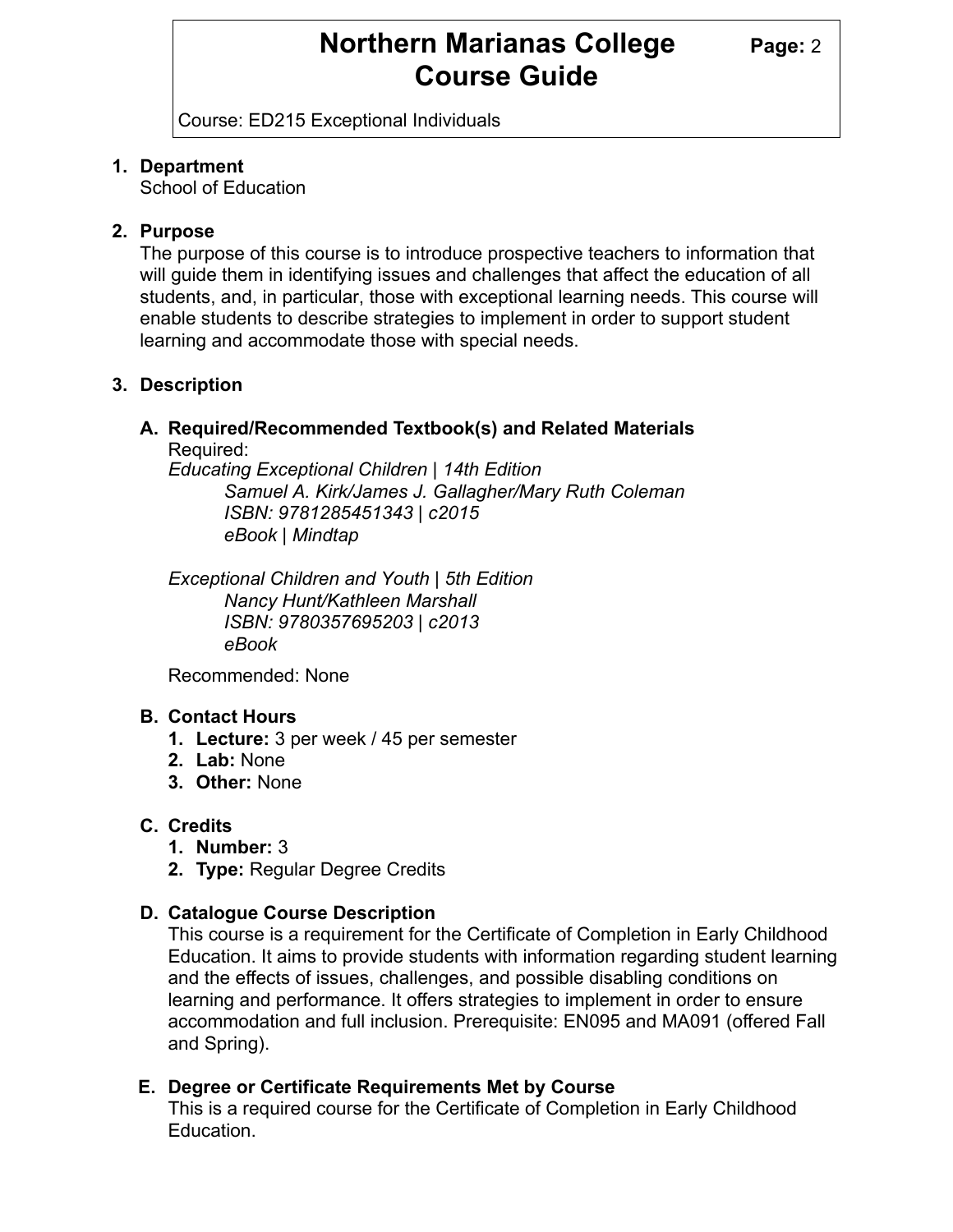## **Northern Marianas College Page: 2 Course Guide**

Course: ED215 Exceptional Individuals

### **1. Department**

School of Education

### **2. Purpose**

The purpose of this course is to introduce prospective teachers to information that will guide them in identifying issues and challenges that affect the education of all students, and, in particular, those with exceptional learning needs. This course will enable students to describe strategies to implement in order to support student learning and accommodate those with special needs.

## **3. Description**

#### **A. Required/Recommended Textbook(s) and Related Materials**  Required:

*Educating Exceptional Children | 14th Edition Samuel A. Kirk/James J. Gallagher/Mary Ruth Coleman ISBN: 9781285451343 | c2015 eBook | Mindtap*

*Exceptional Children and Youth | 5th Edition Nancy Hunt/Kathleen Marshall ISBN: 9780357695203 | c2013 eBook*

Recommended: None

## **B. Contact Hours**

- **1. Lecture:** 3 per week / 45 per semester
- **2. Lab:** None
- **3. Other:** None

## **C. Credits**

- **1. Number:** 3
- **2. Type:** Regular Degree Credits

## **D. Catalogue Course Description**

This course is a requirement for the Certificate of Completion in Early Childhood Education. It aims to provide students with information regarding student learning and the effects of issues, challenges, and possible disabling conditions on learning and performance. It offers strategies to implement in order to ensure accommodation and full inclusion. Prerequisite: EN095 and MA091 (offered Fall and Spring).

## **E. Degree or Certificate Requirements Met by Course**

This is a required course for the Certificate of Completion in Early Childhood Education.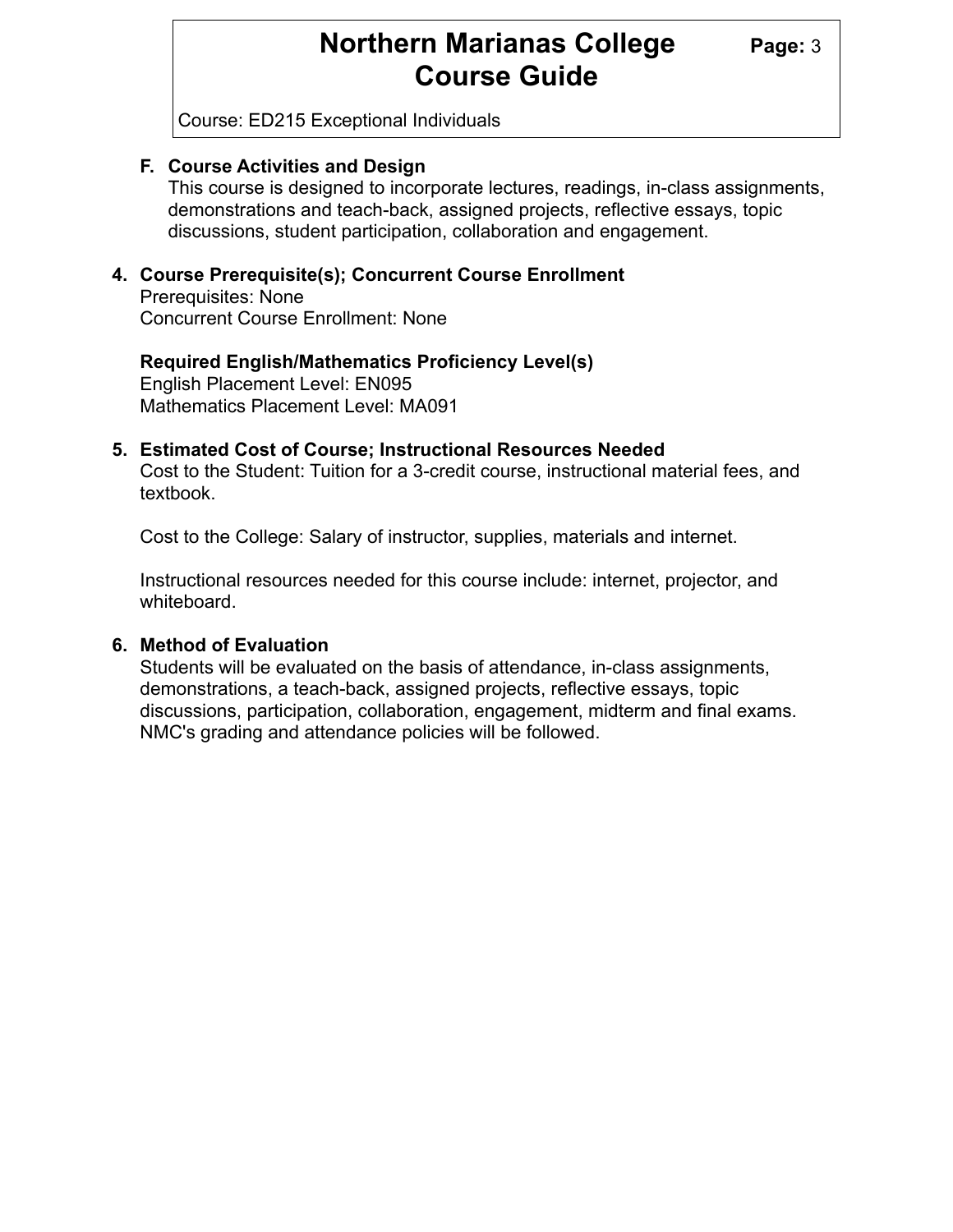## **Northern Marianas College Page: 3 Course Guide**

Course: ED215 Exceptional Individuals

### **F. Course Activities and Design**

This course is designed to incorporate lectures, readings, in-class assignments, demonstrations and teach-back, assigned projects, reflective essays, topic discussions, student participation, collaboration and engagement.

### **4. Course Prerequisite(s); Concurrent Course Enrollment**

 Prerequisites: None Concurrent Course Enrollment: None

### English Placement Level: EN095 Mathematics Placement Level: MA091 **Required English/Mathematics Proficiency Level(s)**

### **5. Estimated Cost of Course; Instructional Resources Needed**

 Cost to the Student: Tuition for a 3-credit course, instructional material fees, and textbook.

Cost to the College: Salary of instructor, supplies, materials and internet.

 Instructional resources needed for this course include: internet, projector, and whiteboard.

### **6. Method of Evaluation**

 Students will be evaluated on the basis of attendance, in-class assignments, demonstrations, a teach-back, assigned projects, reflective essays, topic discussions, participation, collaboration, engagement, midterm and final exams. NMC's grading and attendance policies will be followed.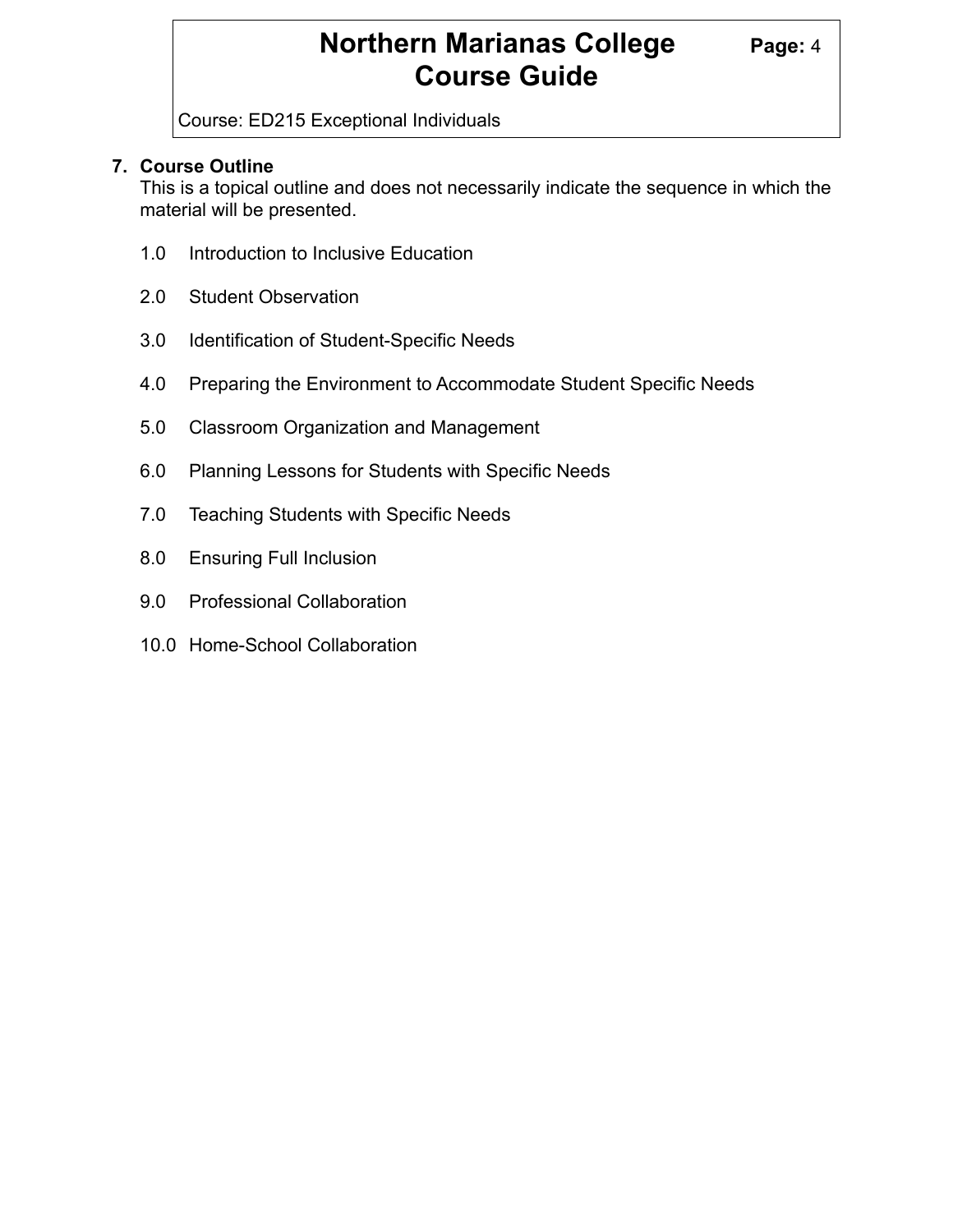# **Northern Marianas College Page: 4 Course Guide**

Course: ED215 Exceptional Individuals

### **7. Course Outline**

 This is a topical outline and does not necessarily indicate the sequence in which the material will be presented.

- 1.0 Introduction to Inclusive Education
- 2.0 Student Observation
- 3.0 Identification of Student-Specific Needs
- 4.0 Preparing the Environment to Accommodate Student Specific Needs
- 5.0 Classroom Organization and Management
- 6.0 Planning Lessons for Students with Specific Needs
- 7.0 Teaching Students with Specific Needs
- 8.0 Ensuring Full Inclusion
- 9.0 Professional Collaboration
- 10.0 Home-School Collaboration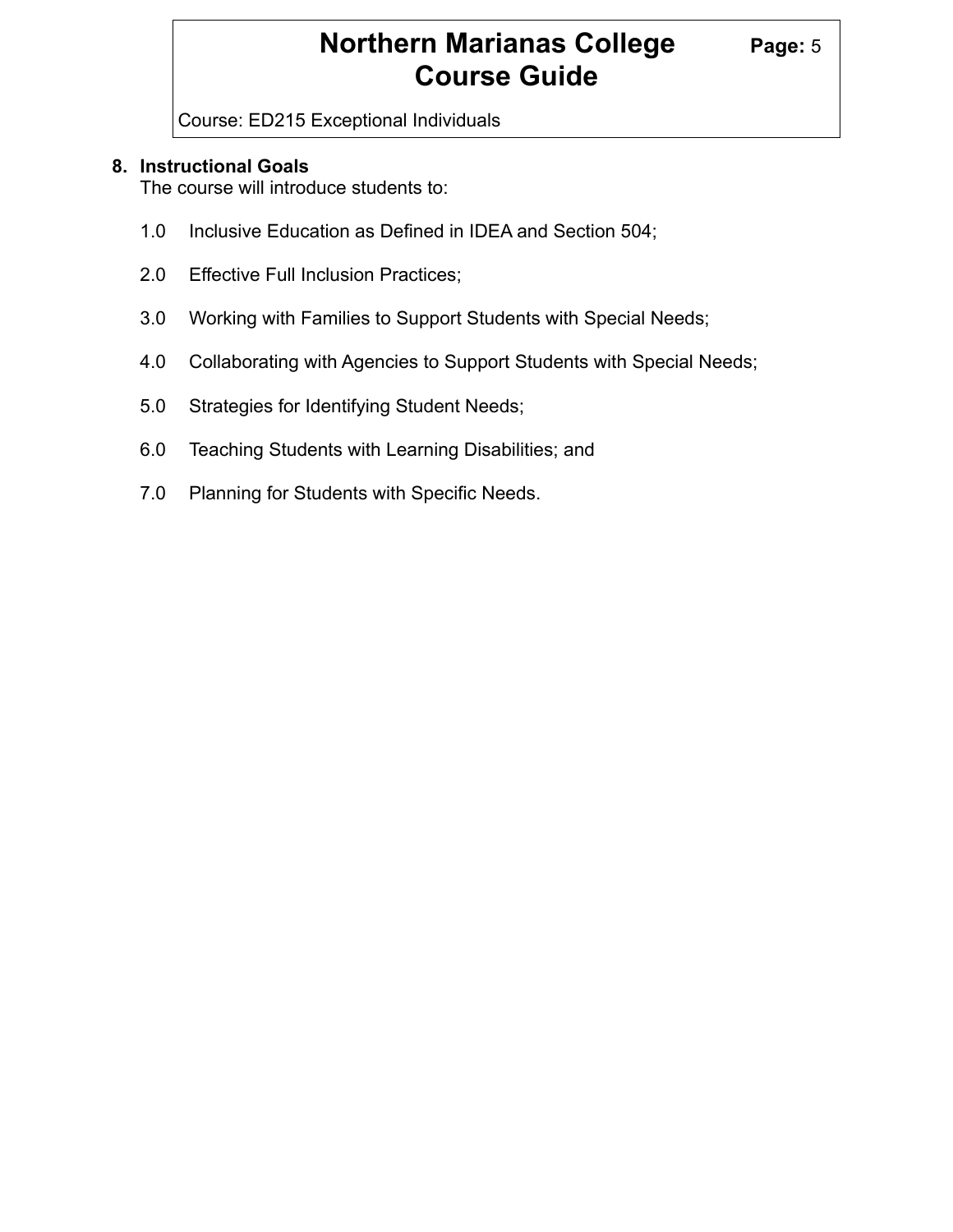# **Northern Marianas College Page: 5 Course Guide**

Course: ED215 Exceptional Individuals

### **8. Instructional Goals**

The course will introduce students to:

- 1.0 Inclusive Education as Defined in IDEA and Section 504;
- 2.0 Effective Full Inclusion Practices;
- 3.0 Working with Families to Support Students with Special Needs;
- 4.0 Collaborating with Agencies to Support Students with Special Needs;
- 5.0 Strategies for Identifying Student Needs;
- 6.0 Teaching Students with Learning Disabilities; and
- 7.0 Planning for Students with Specific Needs.